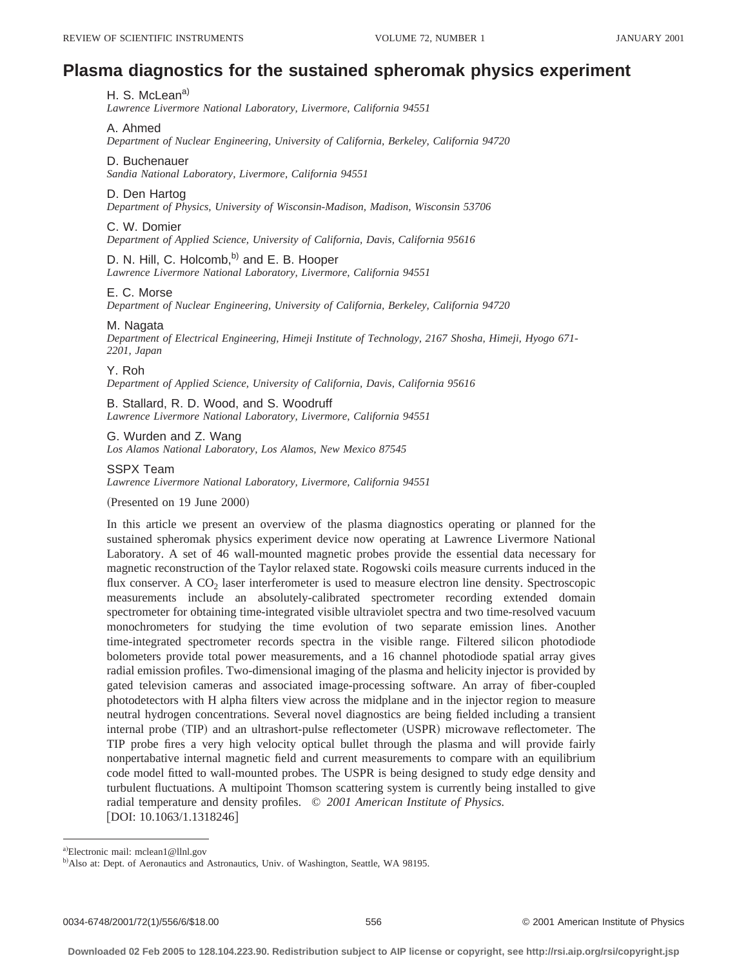# **Plasma diagnostics for the sustained spheromak physics experiment**

# H. S. McLean<sup>a)</sup>

*Lawrence Livermore National Laboratory, Livermore, California 94551*

#### A. Ahmed

*Department of Nuclear Engineering, University of California, Berkeley, California 94720*

#### D. Buchenauer

*Sandia National Laboratory, Livermore, California 94551*

# D. Den Hartog

*Department of Physics, University of Wisconsin-Madison, Madison, Wisconsin 53706*

#### C. W. Domier

*Department of Applied Science, University of California, Davis, California 95616*

# D. N. Hill, C. Holcomb,<sup>b)</sup> and E. B. Hooper

*Lawrence Livermore National Laboratory, Livermore, California 94551*

#### E. C. Morse

*Department of Nuclear Engineering, University of California, Berkeley, California 94720*

#### M. Nagata

*Department of Electrical Engineering, Himeji Institute of Technology, 2167 Shosha, Himeji, Hyogo 671- 2201, Japan*

#### Y. Roh

*Department of Applied Science, University of California, Davis, California 95616*

B. Stallard, R. D. Wood, and S. Woodruff *Lawrence Livermore National Laboratory, Livermore, California 94551*

G. Wurden and Z. Wang *Los Alamos National Laboratory, Los Alamos, New Mexico 87545*

#### SSPX Team

*Lawrence Livermore National Laboratory, Livermore, California 94551*

(Presented on 19 June 2000)

In this article we present an overview of the plasma diagnostics operating or planned for the sustained spheromak physics experiment device now operating at Lawrence Livermore National Laboratory. A set of 46 wall-mounted magnetic probes provide the essential data necessary for magnetic reconstruction of the Taylor relaxed state. Rogowski coils measure currents induced in the flux conserver. A  $CO<sub>2</sub>$  laser interferometer is used to measure electron line density. Spectroscopic measurements include an absolutely-calibrated spectrometer recording extended domain spectrometer for obtaining time-integrated visible ultraviolet spectra and two time-resolved vacuum monochrometers for studying the time evolution of two separate emission lines. Another time-integrated spectrometer records spectra in the visible range. Filtered silicon photodiode bolometers provide total power measurements, and a 16 channel photodiode spatial array gives radial emission profiles. Two-dimensional imaging of the plasma and helicity injector is provided by gated television cameras and associated image-processing software. An array of fiber-coupled photodetectors with H alpha filters view across the midplane and in the injector region to measure neutral hydrogen concentrations. Several novel diagnostics are being fielded including a transient internal probe (TIP) and an ultrashort-pulse reflectometer (USPR) microwave reflectometer. The TIP probe fires a very high velocity optical bullet through the plasma and will provide fairly nonpertabative internal magnetic field and current measurements to compare with an equilibrium code model fitted to wall-mounted probes. The USPR is being designed to study edge density and turbulent fluctuations. A multipoint Thomson scattering system is currently being installed to give radial temperature and density profiles. © *2001 American Institute of Physics.*  $[$ DOI: 10.1063/1.1318246 $]$ 

a)Electronic mail: mclean1@llnl.gov

b) Also at: Dept. of Aeronautics and Astronautics, Univ. of Washington, Seattle, WA 98195.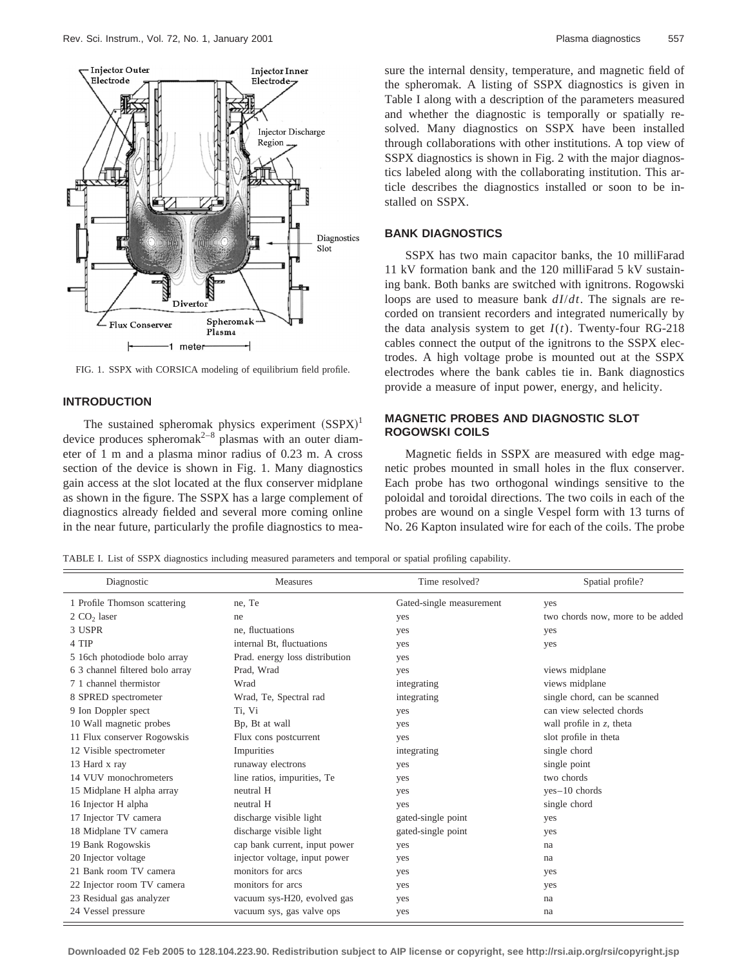

FIG. 1. SSPX with CORSICA modeling of equilibrium field profile.

# **INTRODUCTION**

The sustained spheromak physics experiment  $(SSPX)^1$ device produces spheromak<sup>2–8</sup> plasmas with an outer diameter of 1 m and a plasma minor radius of 0.23 m. A cross section of the device is shown in Fig. 1. Many diagnostics gain access at the slot located at the flux conserver midplane as shown in the figure. The SSPX has a large complement of diagnostics already fielded and several more coming online in the near future, particularly the profile diagnostics to measure the internal density, temperature, and magnetic field of the spheromak. A listing of SSPX diagnostics is given in Table I along with a description of the parameters measured and whether the diagnostic is temporally or spatially resolved. Many diagnostics on SSPX have been installed through collaborations with other institutions. A top view of SSPX diagnostics is shown in Fig. 2 with the major diagnostics labeled along with the collaborating institution. This article describes the diagnostics installed or soon to be installed on SSPX.

#### **BANK DIAGNOSTICS**

SSPX has two main capacitor banks, the 10 milliFarad 11 kV formation bank and the 120 milliFarad 5 kV sustaining bank. Both banks are switched with ignitrons. Rogowski loops are used to measure bank *dI*/*dt*. The signals are recorded on transient recorders and integrated numerically by the data analysis system to get  $I(t)$ . Twenty-four RG-218 cables connect the output of the ignitrons to the SSPX electrodes. A high voltage probe is mounted out at the SSPX electrodes where the bank cables tie in. Bank diagnostics provide a measure of input power, energy, and helicity.

# **MAGNETIC PROBES AND DIAGNOSTIC SLOT ROGOWSKI COILS**

Magnetic fields in SSPX are measured with edge magnetic probes mounted in small holes in the flux conserver. Each probe has two orthogonal windings sensitive to the poloidal and toroidal directions. The two coils in each of the probes are wound on a single Vespel form with 13 turns of No. 26 Kapton insulated wire for each of the coils. The probe

TABLE I. List of SSPX diagnostics including measured parameters and temporal or spatial profiling capability.

| Diagnostic                      | <b>Measures</b>                | Time resolved?           | Spatial profile?                 |
|---------------------------------|--------------------------------|--------------------------|----------------------------------|
| 1 Profile Thomson scattering    | ne, Te                         | Gated-single measurement | yes                              |
| 2 CO <sub>2</sub> laser         | ne                             | yes                      | two chords now, more to be added |
| 3 USPR                          | ne. fluctuations               | yes                      | yes                              |
| 4 TIP                           | internal Bt, fluctuations      | yes                      | yes                              |
| 5 16ch photodiode bolo array    | Prad. energy loss distribution | yes                      |                                  |
| 6 3 channel filtered bolo array | Prad, Wrad                     | yes                      | views midplane                   |
| 7.1 channel thermistor          | Wrad                           | integrating              | views midplane                   |
| 8 SPRED spectrometer            | Wrad, Te, Spectral rad         | integrating              | single chord, can be scanned     |
| 9 Ion Doppler spect             | Ti, Vi                         | yes                      | can view selected chords         |
| 10 Wall magnetic probes         | Bp, Bt at wall                 | yes                      | wall profile in $z$ , theta      |
| 11 Flux conserver Rogowskis     | Flux cons postcurrent          | yes                      | slot profile in theta            |
| 12 Visible spectrometer         | Impurities                     | integrating              | single chord                     |
| 13 Hard x ray                   | runaway electrons              | yes                      | single point                     |
| 14 VUV monochrometers           | line ratios, impurities, Te    | yes                      | two chords                       |
| 15 Midplane H alpha array       | neutral H                      | yes                      | yes-10 chords                    |
| 16 Injector H alpha             | neutral H                      | yes                      | single chord                     |
| 17 Injector TV camera           | discharge visible light        | gated-single point       | yes                              |
| 18 Midplane TV camera           | discharge visible light        | gated-single point       | yes                              |
| 19 Bank Rogowskis               | cap bank current, input power  | yes                      | na                               |
| 20 Injector voltage             | injector voltage, input power  | yes                      | na                               |
| 21 Bank room TV camera          | monitors for arcs              | yes                      | yes                              |
| 22 Injector room TV camera      | monitors for arcs              | yes                      | yes                              |
| 23 Residual gas analyzer        | vacuum sys-H20, evolved gas    | yes                      | na                               |
| 24 Vessel pressure              | vacuum sys, gas valve ops      | yes                      | na                               |

**Downloaded 02 Feb 2005 to 128.104.223.90. Redistribution subject to AIP license or copyright, see http://rsi.aip.org/rsi/copyright.jsp**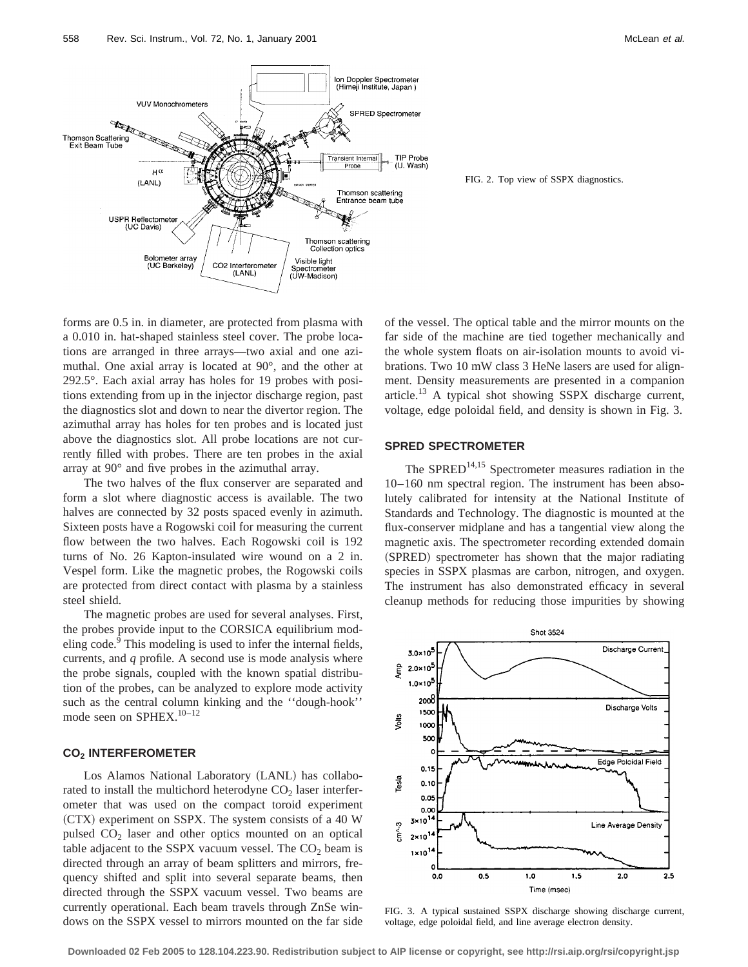

FIG. 2. Top view of SSPX diagnostics.

forms are 0.5 in. in diameter, are protected from plasma with a 0.010 in. hat-shaped stainless steel cover. The probe locations are arranged in three arrays—two axial and one azimuthal. One axial array is located at 90°, and the other at 292.5°. Each axial array has holes for 19 probes with positions extending from up in the injector discharge region, past the diagnostics slot and down to near the divertor region. The azimuthal array has holes for ten probes and is located just above the diagnostics slot. All probe locations are not currently filled with probes. There are ten probes in the axial array at 90° and five probes in the azimuthal array.

The two halves of the flux conserver are separated and form a slot where diagnostic access is available. The two halves are connected by 32 posts spaced evenly in azimuth. Sixteen posts have a Rogowski coil for measuring the current flow between the two halves. Each Rogowski coil is 192 turns of No. 26 Kapton-insulated wire wound on a 2 in. Vespel form. Like the magnetic probes, the Rogowski coils are protected from direct contact with plasma by a stainless steel shield.

The magnetic probes are used for several analyses. First, the probes provide input to the CORSICA equilibrium modeling code.<sup>9</sup> This modeling is used to infer the internal fields, currents, and *q* profile. A second use is mode analysis where the probe signals, coupled with the known spatial distribution of the probes, can be analyzed to explore mode activity such as the central column kinking and the ''dough-hook'' mode seen on SPHEX.<sup>10-12</sup>

#### **CO2 INTERFEROMETER**

Los Alamos National Laboratory (LANL) has collaborated to install the multichord heterodyne  $CO<sub>2</sub>$  laser interferometer that was used on the compact toroid experiment (CTX) experiment on SSPX. The system consists of a 40 W pulsed CO<sub>2</sub> laser and other optics mounted on an optical table adjacent to the SSPX vacuum vessel. The  $CO<sub>2</sub>$  beam is directed through an array of beam splitters and mirrors, frequency shifted and split into several separate beams, then directed through the SSPX vacuum vessel. Two beams are currently operational. Each beam travels through ZnSe windows on the SSPX vessel to mirrors mounted on the far side of the vessel. The optical table and the mirror mounts on the far side of the machine are tied together mechanically and the whole system floats on air-isolation mounts to avoid vibrations. Two 10 mW class 3 HeNe lasers are used for alignment. Density measurements are presented in a companion article.<sup>13</sup> A typical shot showing SSPX discharge current, voltage, edge poloidal field, and density is shown in Fig. 3.

#### **SPRED SPECTROMETER**

The SPRED $14,15$  Spectrometer measures radiation in the 10–160 nm spectral region. The instrument has been absolutely calibrated for intensity at the National Institute of Standards and Technology. The diagnostic is mounted at the flux-conserver midplane and has a tangential view along the magnetic axis. The spectrometer recording extended domain (SPRED) spectrometer has shown that the major radiating species in SSPX plasmas are carbon, nitrogen, and oxygen. The instrument has also demonstrated efficacy in several cleanup methods for reducing those impurities by showing



FIG. 3. A typical sustained SSPX discharge showing discharge current, voltage, edge poloidal field, and line average electron density.

**Downloaded 02 Feb 2005 to 128.104.223.90. Redistribution subject to AIP license or copyright, see http://rsi.aip.org/rsi/copyright.jsp**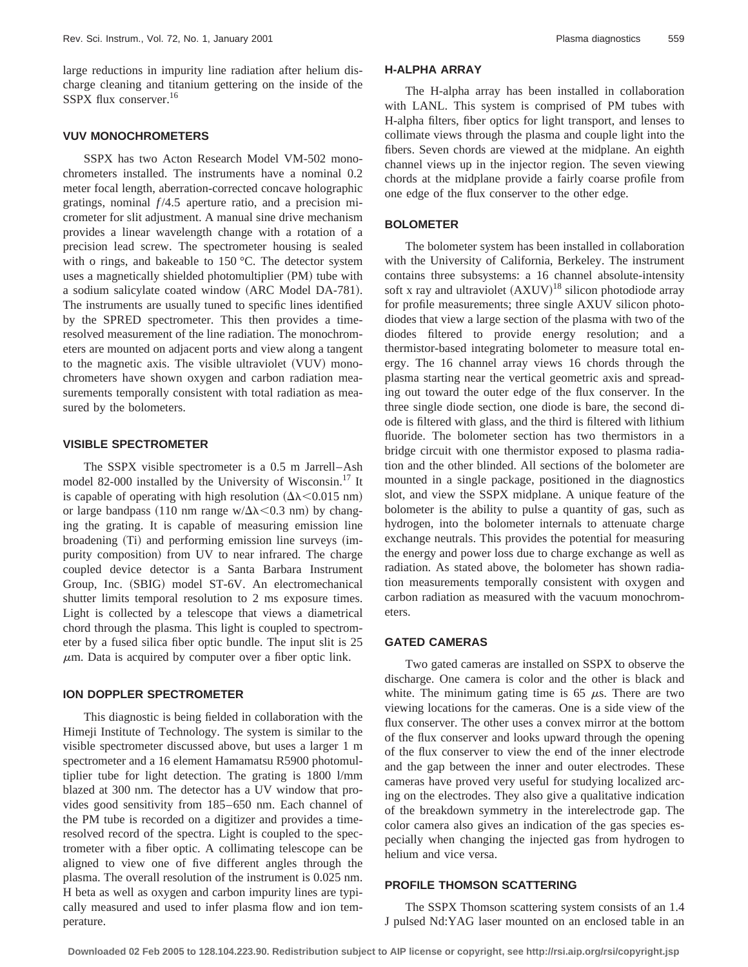large reductions in impurity line radiation after helium discharge cleaning and titanium gettering on the inside of the SSPX flux conserver.<sup>16</sup>

# **VUV MONOCHROMETERS**

SSPX has two Acton Research Model VM-502 monochrometers installed. The instruments have a nominal 0.2 meter focal length, aberration-corrected concave holographic gratings, nominal  $f/4.5$  aperture ratio, and a precision micrometer for slit adjustment. A manual sine drive mechanism provides a linear wavelength change with a rotation of a precision lead screw. The spectrometer housing is sealed with o rings, and bakeable to 150 °C. The detector system uses a magnetically shielded photomultiplier (PM) tube with a sodium salicylate coated window (ARC Model DA-781). The instruments are usually tuned to specific lines identified by the SPRED spectrometer. This then provides a timeresolved measurement of the line radiation. The monochrometers are mounted on adjacent ports and view along a tangent to the magnetic axis. The visible ultraviolet (VUV) monochrometers have shown oxygen and carbon radiation measurements temporally consistent with total radiation as measured by the bolometers.

#### **VISIBLE SPECTROMETER**

The SSPX visible spectrometer is a 0.5 m Jarrell–Ash model 82-000 installed by the University of Wisconsin.<sup>17</sup> It is capable of operating with high resolution  $(\Delta \lambda \le 0.015 \text{ nm})$ or large bandpass (110 nm range w/ $\Delta\lambda$  < 0.3 nm) by changing the grating. It is capable of measuring emission line broadening  $(Ti)$  and performing emission line surveys (impurity composition) from UV to near infrared. The charge coupled device detector is a Santa Barbara Instrument Group, Inc. (SBIG) model ST-6V. An electromechanical shutter limits temporal resolution to 2 ms exposure times. Light is collected by a telescope that views a diametrical chord through the plasma. This light is coupled to spectrometer by a fused silica fiber optic bundle. The input slit is 25  $\mu$ m. Data is acquired by computer over a fiber optic link.

#### **ION DOPPLER SPECTROMETER**

This diagnostic is being fielded in collaboration with the Himeji Institute of Technology. The system is similar to the visible spectrometer discussed above, but uses a larger 1 m spectrometer and a 16 element Hamamatsu R5900 photomultiplier tube for light detection. The grating is 1800 l/mm blazed at 300 nm. The detector has a UV window that provides good sensitivity from 185–650 nm. Each channel of the PM tube is recorded on a digitizer and provides a timeresolved record of the spectra. Light is coupled to the spectrometer with a fiber optic. A collimating telescope can be aligned to view one of five different angles through the plasma. The overall resolution of the instrument is 0.025 nm. H beta as well as oxygen and carbon impurity lines are typically measured and used to infer plasma flow and ion temperature.

# **H-ALPHA ARRAY**

The H-alpha array has been installed in collaboration with LANL. This system is comprised of PM tubes with H-alpha filters, fiber optics for light transport, and lenses to collimate views through the plasma and couple light into the fibers. Seven chords are viewed at the midplane. An eighth channel views up in the injector region. The seven viewing chords at the midplane provide a fairly coarse profile from one edge of the flux conserver to the other edge.

#### **BOLOMETER**

The bolometer system has been installed in collaboration with the University of California, Berkeley. The instrument contains three subsystems: a 16 channel absolute-intensity soft x ray and ultraviolet  $(AXUV)^{18}$  silicon photodiode array for profile measurements; three single AXUV silicon photodiodes that view a large section of the plasma with two of the diodes filtered to provide energy resolution; and a thermistor-based integrating bolometer to measure total energy. The 16 channel array views 16 chords through the plasma starting near the vertical geometric axis and spreading out toward the outer edge of the flux conserver. In the three single diode section, one diode is bare, the second diode is filtered with glass, and the third is filtered with lithium fluoride. The bolometer section has two thermistors in a bridge circuit with one thermistor exposed to plasma radiation and the other blinded. All sections of the bolometer are mounted in a single package, positioned in the diagnostics slot, and view the SSPX midplane. A unique feature of the bolometer is the ability to pulse a quantity of gas, such as hydrogen, into the bolometer internals to attenuate charge exchange neutrals. This provides the potential for measuring the energy and power loss due to charge exchange as well as radiation. As stated above, the bolometer has shown radiation measurements temporally consistent with oxygen and carbon radiation as measured with the vacuum monochrometers.

#### **GATED CAMERAS**

Two gated cameras are installed on SSPX to observe the discharge. One camera is color and the other is black and white. The minimum gating time is 65  $\mu$ s. There are two viewing locations for the cameras. One is a side view of the flux conserver. The other uses a convex mirror at the bottom of the flux conserver and looks upward through the opening of the flux conserver to view the end of the inner electrode and the gap between the inner and outer electrodes. These cameras have proved very useful for studying localized arcing on the electrodes. They also give a qualitative indication of the breakdown symmetry in the interelectrode gap. The color camera also gives an indication of the gas species especially when changing the injected gas from hydrogen to helium and vice versa.

# **PROFILE THOMSON SCATTERING**

The SSPX Thomson scattering system consists of an 1.4 J pulsed Nd:YAG laser mounted on an enclosed table in an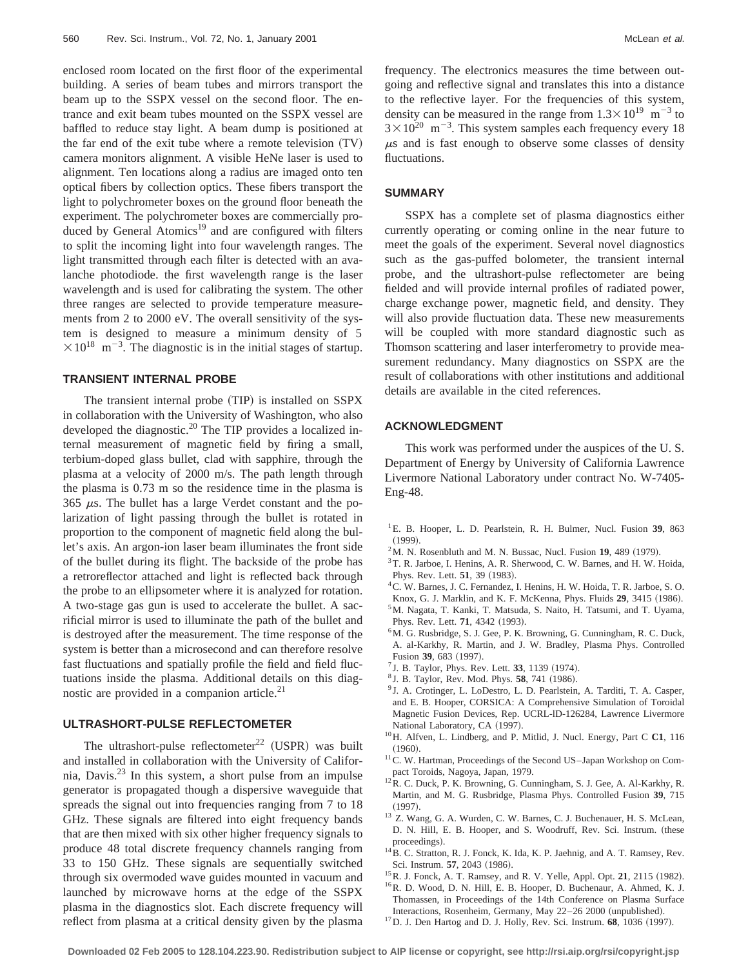enclosed room located on the first floor of the experimental building. A series of beam tubes and mirrors transport the beam up to the SSPX vessel on the second floor. The entrance and exit beam tubes mounted on the SSPX vessel are baffled to reduce stay light. A beam dump is positioned at the far end of the exit tube where a remote television  $(TV)$ camera monitors alignment. A visible HeNe laser is used to alignment. Ten locations along a radius are imaged onto ten optical fibers by collection optics. These fibers transport the light to polychrometer boxes on the ground floor beneath the experiment. The polychrometer boxes are commercially produced by General Atomics<sup>19</sup> and are configured with filters to split the incoming light into four wavelength ranges. The light transmitted through each filter is detected with an avalanche photodiode. the first wavelength range is the laser wavelength and is used for calibrating the system. The other three ranges are selected to provide temperature measurements from 2 to 2000 eV. The overall sensitivity of the system is designed to measure a minimum density of 5  $\times 10^{18}$  m<sup>-3</sup>. The diagnostic is in the initial stages of startup.

#### **TRANSIENT INTERNAL PROBE**

The transient internal probe (TIP) is installed on SSPX in collaboration with the University of Washington, who also developed the diagnostic.<sup>20</sup> The TIP provides a localized internal measurement of magnetic field by firing a small, terbium-doped glass bullet, clad with sapphire, through the plasma at a velocity of 2000 m/s. The path length through the plasma is 0.73 m so the residence time in the plasma is  $365 \mu s$ . The bullet has a large Verdet constant and the polarization of light passing through the bullet is rotated in proportion to the component of magnetic field along the bullet's axis. An argon-ion laser beam illuminates the front side of the bullet during its flight. The backside of the probe has a retroreflector attached and light is reflected back through the probe to an ellipsometer where it is analyzed for rotation. A two-stage gas gun is used to accelerate the bullet. A sacrificial mirror is used to illuminate the path of the bullet and is destroyed after the measurement. The time response of the system is better than a microsecond and can therefore resolve fast fluctuations and spatially profile the field and field fluctuations inside the plasma. Additional details on this diagnostic are provided in a companion article. $^{21}$ 

# **ULTRASHORT-PULSE REFLECTOMETER**

The ultrashort-pulse reflectometer<sup>22</sup> (USPR) was built and installed in collaboration with the University of California, Davis.23 In this system, a short pulse from an impulse generator is propagated though a dispersive waveguide that spreads the signal out into frequencies ranging from 7 to 18 GHz. These signals are filtered into eight frequency bands that are then mixed with six other higher frequency signals to produce 48 total discrete frequency channels ranging from 33 to 150 GHz. These signals are sequentially switched through six overmoded wave guides mounted in vacuum and launched by microwave horns at the edge of the SSPX plasma in the diagnostics slot. Each discrete frequency will reflect from plasma at a critical density given by the plasma frequency. The electronics measures the time between outgoing and reflective signal and translates this into a distance to the reflective layer. For the frequencies of this system, density can be measured in the range from  $1.3 \times 10^{19}$  m<sup>-3</sup> to  $3 \times 10^{20}$  m<sup>-3</sup>. This system samples each frequency every 18  $\mu$ s and is fast enough to observe some classes of density fluctuations.

#### **SUMMARY**

SSPX has a complete set of plasma diagnostics either currently operating or coming online in the near future to meet the goals of the experiment. Several novel diagnostics such as the gas-puffed bolometer, the transient internal probe, and the ultrashort-pulse reflectometer are being fielded and will provide internal profiles of radiated power, charge exchange power, magnetic field, and density. They will also provide fluctuation data. These new measurements will be coupled with more standard diagnostic such as Thomson scattering and laser interferometry to provide measurement redundancy. Many diagnostics on SSPX are the result of collaborations with other institutions and additional details are available in the cited references.

#### **ACKNOWLEDGMENT**

This work was performed under the auspices of the U. S. Department of Energy by University of California Lawrence Livermore National Laboratory under contract No. W-7405- Eng-48.

- 1E. B. Hooper, L. D. Pearlstein, R. H. Bulmer, Nucl. Fusion **39**, 863  $(1999)$ .
- $^{2}$ M. N. Rosenbluth and M. N. Bussac, Nucl. Fusion 19, 489 (1979).
- 3T. R. Jarboe, I. Henins, A. R. Sherwood, C. W. Barnes, and H. W. Hoida, Phys. Rev. Lett. **51**, 39 (1983).
- <sup>4</sup> C. W. Barnes, J. C. Fernandez, I. Henins, H. W. Hoida, T. R. Jarboe, S. O. Knox, G. J. Marklin, and K. F. McKenna, Phys. Fluids 29, 3415 (1986).
- 5M. Nagata, T. Kanki, T. Matsuda, S. Naito, H. Tatsumi, and T. Uyama, Phys. Rev. Lett. **71**, 4342 (1993).
- <sup>6</sup>M. G. Rusbridge, S. J. Gee, P. K. Browning, G. Cunningham, R. C. Duck, A. al-Karkhy, R. Martin, and J. W. Bradley, Plasma Phys. Controlled Fusion 39, 683 (1997).
- $17$  J. B. Taylor, Phys. Rev. Lett. 33, 1139 (1974).
- <sup>8</sup> J. B. Taylor, Rev. Mod. Phys. **58**, 741 (1986).
- <sup>9</sup> J. A. Crotinger, L. LoDestro, L. D. Pearlstein, A. Tarditi, T. A. Casper, and E. B. Hooper, CORSICA: A Comprehensive Simulation of Toroidal Magnetic Fusion Devices, Rep. UCRL-lD-126284, Lawrence Livermore National Laboratory, CA (1997).
- 10H. Alfven, L. Lindberg, and P. Mitlid, J. Nucl. Energy, Part C **C1**, 116  $(1960)$ .
- <sup>11</sup>C. W. Hartman, Proceedings of the Second US-Japan Workshop on Compact Toroids, Nagoya, Japan, 1979.
- <sup>12</sup>R. C. Duck, P. K. Browning, G. Cunningham, S. J. Gee, A. Al-Karkhy, R. Martin, and M. G. Rusbridge, Plasma Phys. Controlled Fusion **39**, 715  $(1997).$
- <sup>13</sup> Z. Wang, G. A. Wurden, C. W. Barnes, C. J. Buchenauer, H. S. McLean, D. N. Hill, E. B. Hooper, and S. Woodruff, Rev. Sci. Instrum. (these proceedings).
- <sup>14</sup>B. C. Stratton, R. J. Fonck, K. Ida, K. P. Jaehnig, and A. T. Ramsey, Rev. Sci. Instrum. 57, 2043 (1986).
- <sup>15</sup> R. J. Fonck, A. T. Ramsey, and R. V. Yelle, Appl. Opt. **21**, 2115 (1982).
- 16R. D. Wood, D. N. Hill, E. B. Hooper, D. Buchenaur, A. Ahmed, K. J. Thomassen, in Proceedings of the 14th Conference on Plasma Surface Interactions, Rosenheim, Germany, May 22-26 2000 (unpublished).
- $17$  D. J. Den Hartog and D. J. Holly, Rev. Sci. Instrum.  $68$ ,  $1036$  (1997).